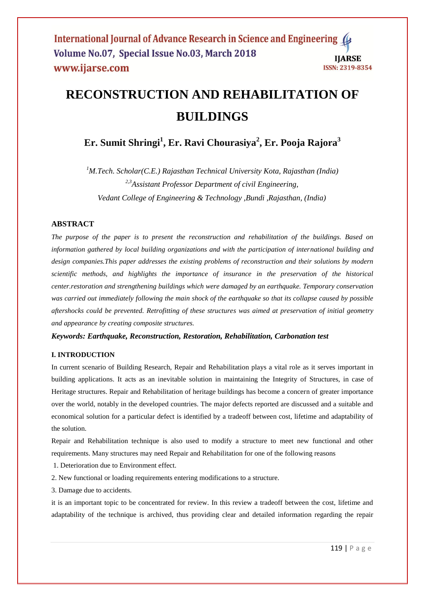# **RECONSTRUCTION AND REHABILITATION OF BUILDINGS**

**Er. Sumit Shringi<sup>1</sup> , Er. Ravi Chourasiya<sup>2</sup> , Er. Pooja Rajora<sup>3</sup>**

*<sup>1</sup>M.Tech. Scholar(C.E.) Rajasthan Technical University Kota, Rajasthan (India) 2,3Assistant Professor Department of civil Engineering, Vedant College of Engineering & Technology ,Bundi ,Rajasthan, (India)* 

# **ABSTRACT**

*The purpose of the paper is to present the reconstruction and rehabilitation of the buildings. Based on information gathered by local building organizations and with the participation of international building and design companies.This paper addresses the existing problems of reconstruction and their solutions by modern scientific methods, and highlights the importance of insurance in the preservation of the historical center.restoration and strengthening buildings which were damaged by an earthquake. Temporary conservation was carried out immediately following the main shock of the earthquake so that its collapse caused by possible aftershocks could be prevented. Retrofitting of these structures was aimed at preservation of initial geometry and appearance by creating composite structures.*

*Keywords: Earthquake, Reconstruction, Restoration, Rehabilitation, Carbonation test*

# **I. INTRODUCTION**

In current scenario of Building Research, Repair and Rehabilitation plays a vital role as it serves important in building applications. It acts as an inevitable solution in maintaining the Integrity of Structures, in case of Heritage structures. Repair and Rehabilitation of heritage buildings has become a concern of greater importance over the world, notably in the developed countries. The major defects reported are discussed and a suitable and economical solution for a particular defect is identified by a tradeoff between cost, lifetime and adaptability of the solution.

Repair and Rehabilitation technique is also used to modify a structure to meet new functional and other requirements. Many structures may need Repair and Rehabilitation for one of the following reasons

- 1. Deterioration due to Environment effect.
- 2. New functional or loading requirements entering modifications to a structure.
- 3. Damage due to accidents.

it is an important topic to be concentrated for review. In this review a tradeoff between the cost, lifetime and adaptability of the technique is archived, thus providing clear and detailed information regarding the repair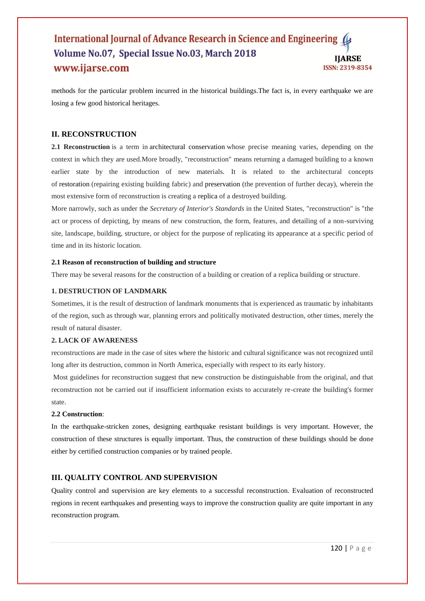## International Journal of Advance Research in Science and Engineering Volume No.07, Special Issue No.03, March 2018 **IIARSE** www.ijarse.com ISSN: 2319-8354

methods for the particular problem incurred in the historical buildings.The fact is, in every earthquake we are losing a few good historical heritages.

# **II. RECONSTRUCTION**

**2.1 Reconstruction** is a term in architectural conservation whose precise meaning varies, depending on the context in which they are used.More broadly, "reconstruction" means returning a damaged building to a known earlier state by the introduction of new materials. It is related to the architectural concepts of restoration (repairing existing building fabric) and preservation (the prevention of further decay), wherein the most extensive form of reconstruction is creating a replica of a destroyed building.

More narrowly, such as under the *Secretary of Interior's Standards* in the United States, "reconstruction" is "the act or process of depicting, by means of new construction, the form, features, and detailing of a non-surviving site, landscape, building, structure, or object for the purpose of replicating its appearance at a specific period of time and in its historic location.

## **2.1 Reason of reconstruction of building and structure**

There may be several reasons for the construction of a building or creation of a replica building or structure.

# **1. DESTRUCTION OF LANDMARK**

Sometimes, it is the result of destruction of landmark monuments that is experienced as traumatic by inhabitants of the region, such as through war, planning errors and politically motivated destruction, other times, merely the result of natural disaster.

#### **2. LACK OF AWARENESS**

reconstructions are made in the case of sites where the historic and cultural significance was not recognized until long after its destruction, common in North America, especially with respect to its early history.

Most guidelines for reconstruction suggest that new construction be distinguishable from the original, and that reconstruction not be carried out if insufficient information exists to accurately re-create the building's former state.

#### **2.2 Construction**:

In the earthquake-stricken zones, designing earthquake resistant buildings is very important. However, the construction of these structures is equally important. Thus, the construction of these buildings should be done either by certified construction companies or by trained people.

#### **III. QUALITY CONTROL AND SUPERVISION**

Quality control and supervision are key elements to a successful reconstruction. Evaluation of reconstructed regions in recent earthquakes and presenting ways to improve the construction quality are quite important in any reconstruction program.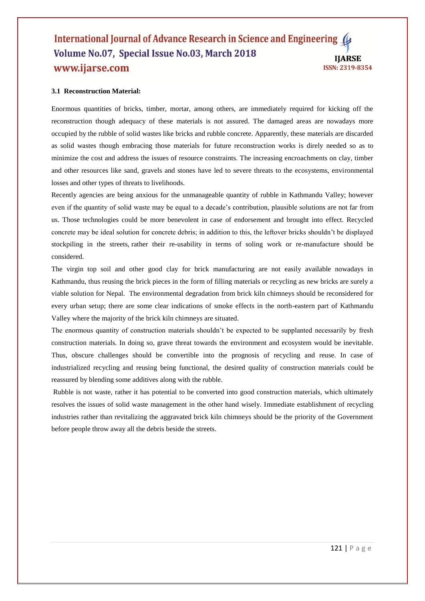## International Journal of Advance Research in Science and Engineering ( Volume No.07, Special Issue No.03, March 2018 **IJARSE** www.ijarse.com ISSN: 2319-8354

## **3.1 Reconstruction Material:**

Enormous quantities of bricks, timber, mortar, among others, are immediately required for kicking off the reconstruction though adequacy of these materials is not assured. The damaged areas are nowadays more occupied by the rubble of solid wastes like bricks and rubble concrete. Apparently, these materials are discarded as solid wastes though embracing those materials for future reconstruction works is direly needed so as to minimize the cost and address the issues of resource constraints. The increasing encroachments on clay, timber and other resources like sand, gravels and stones have led to severe threats to the ecosystems, environmental losses and other types of threats to livelihoods.

Recently agencies are being anxious for the unmanageable quantity of rubble in Kathmandu Valley; however even if the quantity of solid waste may be equal to a decade's contribution, plausible solutions are not far from us. Those technologies could be more benevolent in case of endorsement and brought into effect. Recycled concrete may be ideal solution for concrete debris; in addition to this, the leftover bricks shouldn't be displayed stockpiling in the streets, rather their re-usability in terms of soling work or re-manufacture should be considered.

The virgin top soil and other good clay for brick manufacturing are not easily available nowadays in Kathmandu, thus reusing the brick pieces in the form of filling materials or recycling as new bricks are surely a viable solution for Nepal. The environmental degradation from brick kiln chimneys should be reconsidered for every urban setup; there are some clear indications of smoke effects in the north-eastern part of Kathmandu Valley where the majority of the brick kiln chimneys are situated.

The enormous quantity of construction materials shouldn't be expected to be supplanted necessarily by fresh construction materials. In doing so, grave threat towards the environment and ecosystem would be inevitable. Thus, obscure challenges should be convertible into the prognosis of recycling and reuse. In case of industrialized recycling and reusing being functional, the desired quality of construction materials could be reassured by blending some additives along with the rubble.

Rubble is not waste, rather it has potential to be converted into good construction materials, which ultimately resolves the issues of solid waste management in the other hand wisely. Immediate establishment of recycling industries rather than revitalizing the aggravated brick kiln chimneys should be the priority of the Government before people throw away all the debris beside the streets.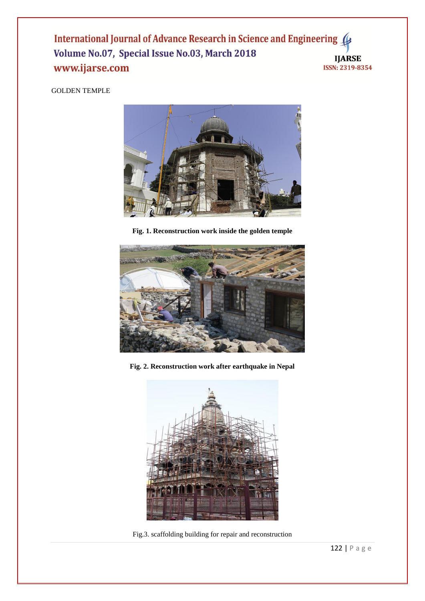International Journal of Advance Research in Science and Engineering 4 Volume No.07, Special Issue No.03, March 2018 **IJARSE** www.ijarse.com **ISSN: 2319-8354** 

# GOLDEN TEMPLE



**Fig. 1. Reconstruction work inside the golden temple**



**Fig. 2. Reconstruction work after earthquake in Nepal**



Fig.3. scaffolding building for repair and reconstruction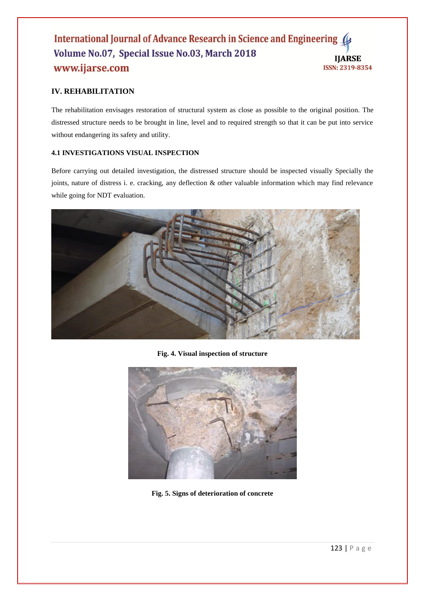# International Journal of Advance Research in Science and Engineering Volume No.07, Special Issue No.03, March 2018 **IJARSE** www.ijarse.com ISSN: 2319-8354

# **IV. REHABILITATION**

The rehabilitation envisages restoration of structural system as close as possible to the original position. The distressed structure needs to be brought in line, level and to required strength so that it can be put into service without endangering its safety and utility.

# **4.1 INVESTIGATIONS VISUAL INSPECTION**

Before carrying out detailed investigation, the distressed structure should be inspected visually Specially the joints, nature of distress i. e. cracking, any deflection & other valuable information which may find relevance while going for NDT evaluation.



**Fig. 4. Visual inspection of structure**



**Fig. 5. Signs of deterioration of concrete**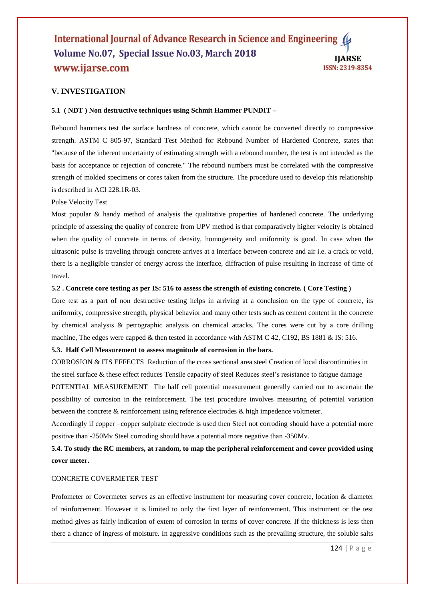#### International Journal of Advance Research in Science and Engineering ( Volume No.07, Special Issue No.03, March 2018 **IIARSE** www.ijarse.com **ISSN: 2319-8354**

# **V. INVESTIGATION**

#### **5.1 ( NDT ) Non destructive techniques using Schmit Hammer PUNDIT –**

Rebound hammers test the surface hardness of concrete, which cannot be converted directly to compressive strength. ASTM C 805-97, Standard Test Method for Rebound Number of Hardened Concrete, states that "because of the inherent uncertainty of estimating strength with a rebound number, the test is not intended as the basis for acceptance or rejection of concrete." The rebound numbers must be correlated with the compressive strength of molded specimens or cores taken from the structure. The procedure used to develop this relationship is described in ACI 228.1R-03.

#### Pulse Velocity Test

Most popular & handy method of analysis the qualitative properties of hardened concrete. The underlying principle of assessing the quality of concrete from UPV method is that comparatively higher velocity is obtained when the quality of concrete in terms of density, homogeneity and uniformity is good. In case when the ultrasonic pulse is traveling through concrete arrives at a interface between concrete and air i.e. a crack or void, there is a negligible transfer of energy across the interface, diffraction of pulse resulting in increase of time of travel.

#### **5.2 . Concrete core testing as per IS: 516 to assess the strength of existing concrete. ( Core Testing )**

Core test as a part of non destructive testing helps in arriving at a conclusion on the type of concrete, its uniformity, compressive strength, physical behavior and many other tests such as cement content in the concrete by chemical analysis & petrographic analysis on chemical attacks. The cores were cut by a core drilling machine, The edges were capped & then tested in accordance with ASTM C 42, C192, BS 1881 & IS: 516.

# **5.3. Half Cell Measurement to assess magnitude of corrosion in the bars.**

CORROSION & ITS EFFECTS Reduction of the cross sectional area steel Creation of local discontinuities in the steel surface & these effect reduces Tensile capacity of steel Reduces steel's resistance to fatigue damage

POTENTIAL MEASUREMENT The half cell potential measurement generally carried out to ascertain the possibility of corrosion in the reinforcement. The test procedure involves measuring of potential variation between the concrete & reinforcement using reference electrodes & high impedence voltmeter.

Accordingly if copper –copper sulphate electrode is used then Steel not corroding should have a potential more positive than -250Mv Steel corroding should have a potential more negative than -350Mv.

# **5.4. To study the RC members, at random, to map the peripheral reinforcement and cover provided using cover meter.**

#### CONCRETE COVERMETER TEST

Profometer or Covermeter serves as an effective instrument for measuring cover concrete, location & diameter of reinforcement. However it is limited to only the first layer of reinforcement. This instrument or the test method gives as fairly indication of extent of corrosion in terms of cover concrete. If the thickness is less then there a chance of ingress of moisture. In aggressive conditions such as the prevailing structure, the soluble salts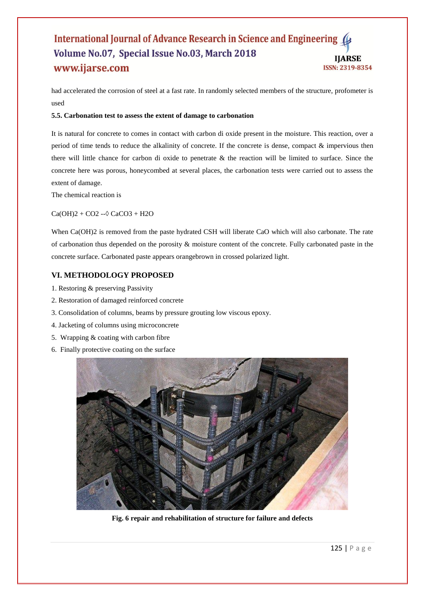# International Journal of Advance Research in Science and Engineering Volume No.07, Special Issue No.03, March 2018 **HARSE** www.ijarse.com ISSN: 2319-8354

had accelerated the corrosion of steel at a fast rate. In randomly selected members of the structure, profometer is used

#### **5.5. Carbonation test to assess the extent of damage to carbonation**

It is natural for concrete to comes in contact with carbon di oxide present in the moisture. This reaction, over a period of time tends to reduce the alkalinity of concrete. If the concrete is dense, compact & impervious then there will little chance for carbon di oxide to penetrate & the reaction will be limited to surface. Since the concrete here was porous, honeycombed at several places, the carbonation tests were carried out to assess the extent of damage.

The chemical reaction is

#### $Ca(OH)2 + CO2 - O\cdot CaCO3 + H2O$

When Ca(OH)2 is removed from the paste hydrated CSH will liberate CaO which will also carbonate. The rate of carbonation thus depended on the porosity & moisture content of the concrete. Fully carbonated paste in the concrete surface. Carbonated paste appears orangebrown in crossed polarized light.

# **VI. METHODOLOGY PROPOSED**

- 1. Restoring & preserving Passivity
- 2. Restoration of damaged reinforced concrete
- 3. Consolidation of columns, beams by pressure grouting low viscous epoxy.
- 4. Jacketing of columns using microconcrete
- 5. Wrapping & coating with carbon fibre
- 6. Finally protective coating on the surface



**Fig. 6 repair and rehabilitation of structure for failure and defects**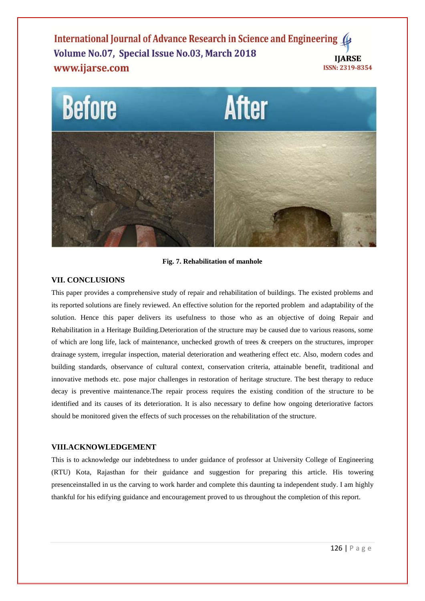International Journal of Advance Research in Science and Engineering ( Volume No.07, Special Issue No.03, March 2018 **IIARSE** www.ijarse.com **ISSN: 2319-8354** 



**Fig. 7. Rehabilitation of manhole**

# **VII. CONCLUSIONS**

This paper provides a comprehensive study of repair and rehabilitation of buildings. The existed problems and its reported solutions are finely reviewed. An effective solution for the reported problem and adaptability of the solution. Hence this paper delivers its usefulness to those who as an objective of doing Repair and Rehabilitation in a Heritage Building.Deterioration of the structure may be caused due to various reasons, some of which are long life, lack of maintenance, unchecked growth of trees & creepers on the structures, improper drainage system, irregular inspection, material deterioration and weathering effect etc. Also, modern codes and building standards, observance of cultural context, conservation criteria, attainable benefit, traditional and innovative methods etc. pose major challenges in restoration of heritage structure. The best therapy to reduce decay is preventive maintenance.The repair process requires the existing condition of the structure to be identified and its causes of its deterioration. It is also necessary to define how ongoing deteriorative factors should be monitored given the effects of such processes on the rehabilitation of the structure.

# **VIII.ACKNOWLEDGEMENT**

This is to acknowledge our indebtedness to under guidance of professor at University College of Engineering (RTU) Kota, Rajasthan for their guidance and suggestion for preparing this article. His towering presenceinstalled in us the carving to work harder and complete this daunting ta independent study. I am highly thankful for his edifying guidance and encouragement proved to us throughout the completion of this report.